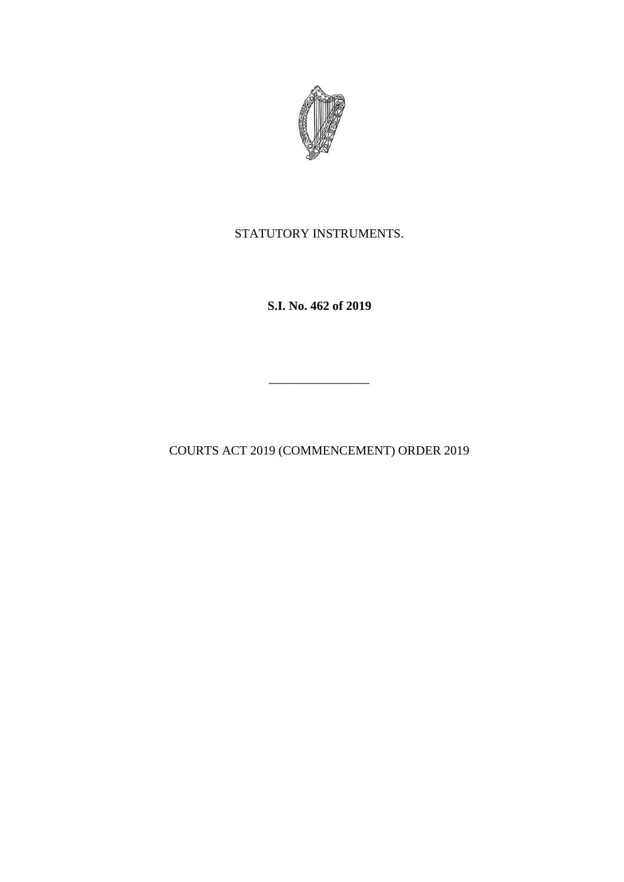

STATUTORY INSTRUMENTS.

**S.I. No. 462 of 2019**

COURTS ACT 2019 (COMMENCEMENT) ORDER 2019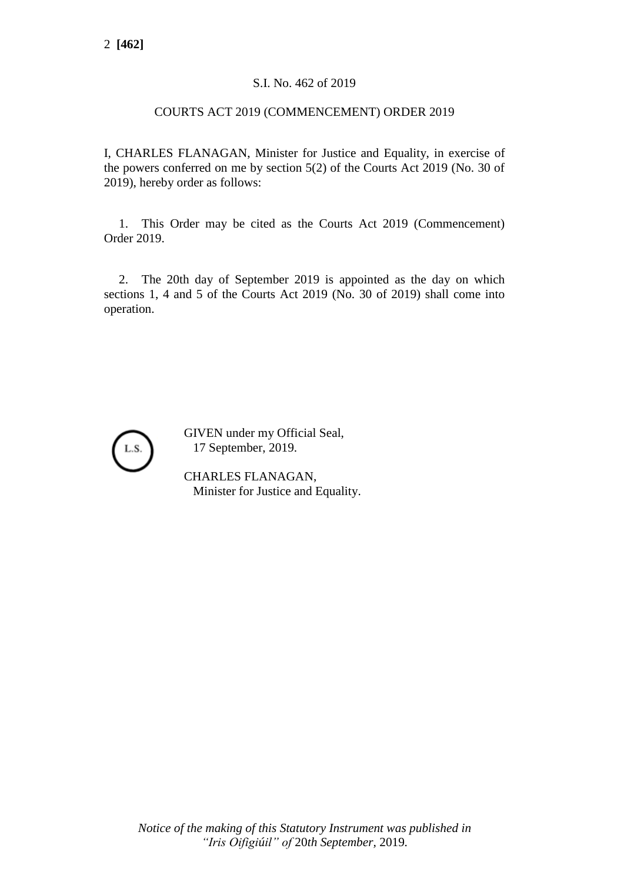## S.I. No. 462 of 2019

## COURTS ACT 2019 (COMMENCEMENT) ORDER 2019

I, CHARLES FLANAGAN, Minister for Justice and Equality, in exercise of the powers conferred on me by section 5(2) of the Courts Act 2019 (No. 30 of 2019), hereby order as follows:

1. This Order may be cited as the Courts Act 2019 (Commencement) Order 2019.

2. The 20th day of September 2019 is appointed as the day on which sections 1, 4 and 5 of the Courts Act 2019 (No. 30 of 2019) shall come into operation.



GIVEN under my Official Seal, 17 September, 2019.

CHARLES FLANAGAN, Minister for Justice and Equality.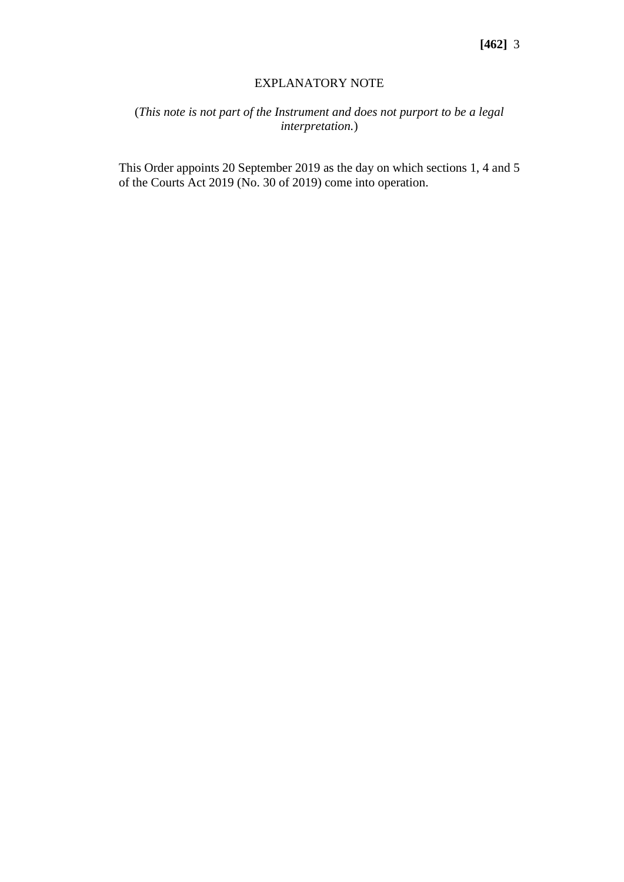## EXPLANATORY NOTE

## (*This note is not part of the Instrument and does not purport to be a legal interpretation.*)

This Order appoints 20 September 2019 as the day on which sections 1, 4 and 5 of the Courts Act 2019 (No. 30 of 2019) come into operation.